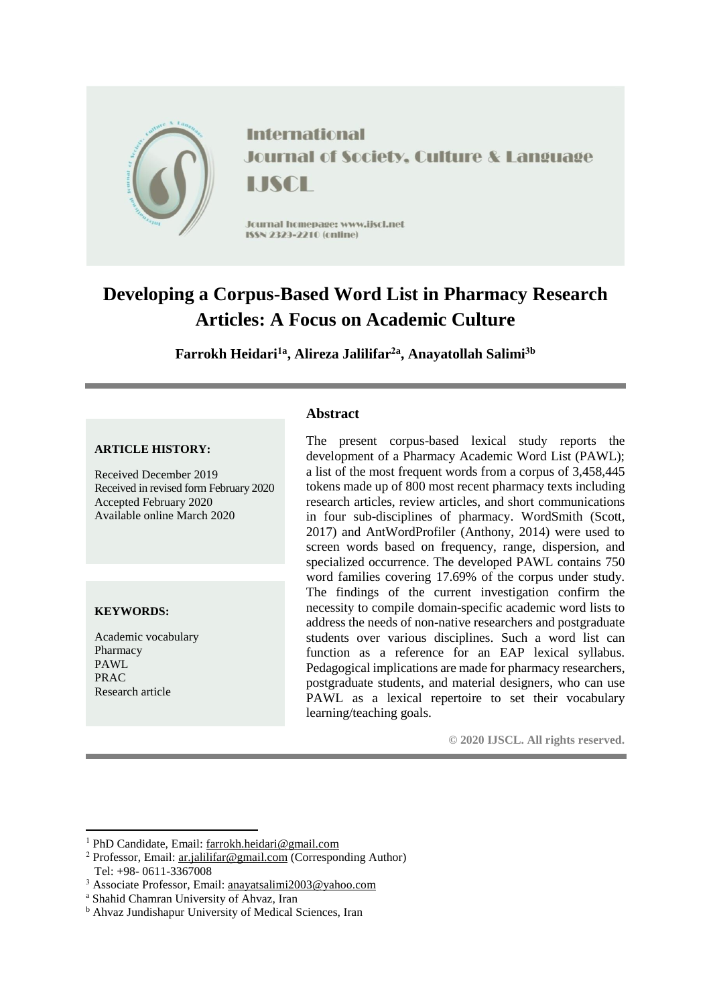

# **Developing a Corpus-Based Word List in Pharmacy Research Articles: A Focus on Academic Culture**

**Farrokh Heidari1a , Alireza Jalilifar2a , Anayatollah Salimi3b**

## **ARTICLE HISTORY:**

Received December 2019 Received in revised form February 2020 Accepted February 2020 Available online March 2020

#### **KEYWORDS:**

1

Academic vocabulary Pharmacy PAWL PRAC Research article

## **Abstract**

The present corpus-based lexical study reports the development of a Pharmacy Academic Word List (PAWL); a list of the most frequent words from a corpus of 3,458,445 tokens made up of 800 most recent pharmacy texts including research articles, review articles, and short communications in four sub-disciplines of pharmacy. WordSmith (Scott, 2017) and AntWordProfiler (Anthony, 2014) were used to screen words based on frequency, range, dispersion, and specialized occurrence. The developed PAWL contains 750 word families covering 17.69% of the corpus under study. The findings of the current investigation confirm the necessity to compile domain-specific academic word lists to address the needs of non-native researchers and postgraduate students over various disciplines. Such a word list can function as a reference for an EAP lexical syllabus. Pedagogical implications are made for pharmacy researchers, postgraduate students, and material designers, who can use PAWL as a lexical repertoire to set their vocabulary learning/teaching goals.

**© 2020 IJSCL. All rights reserved.**

<sup>1</sup> PhD Candidate, Email[: farrokh.heidari@gmail.com](mailto:farrokh.heidari@gmail.com)

<sup>2</sup> Professor, Email: [ar.jalilifar@gmail.com](mailto:ar.jalilifar@gmail.com) (Corresponding Author) Tel: +98- 0611-3367008

<sup>3</sup> Associate Professor, Email: [anayatsalimi2003@yahoo.com](mailto:anayatsalimi2003@yahoo.com)

<sup>a</sup> Shahid Chamran University of Ahvaz, Iran

<sup>b</sup> Ahvaz Jundishapur University of Medical Sciences, Iran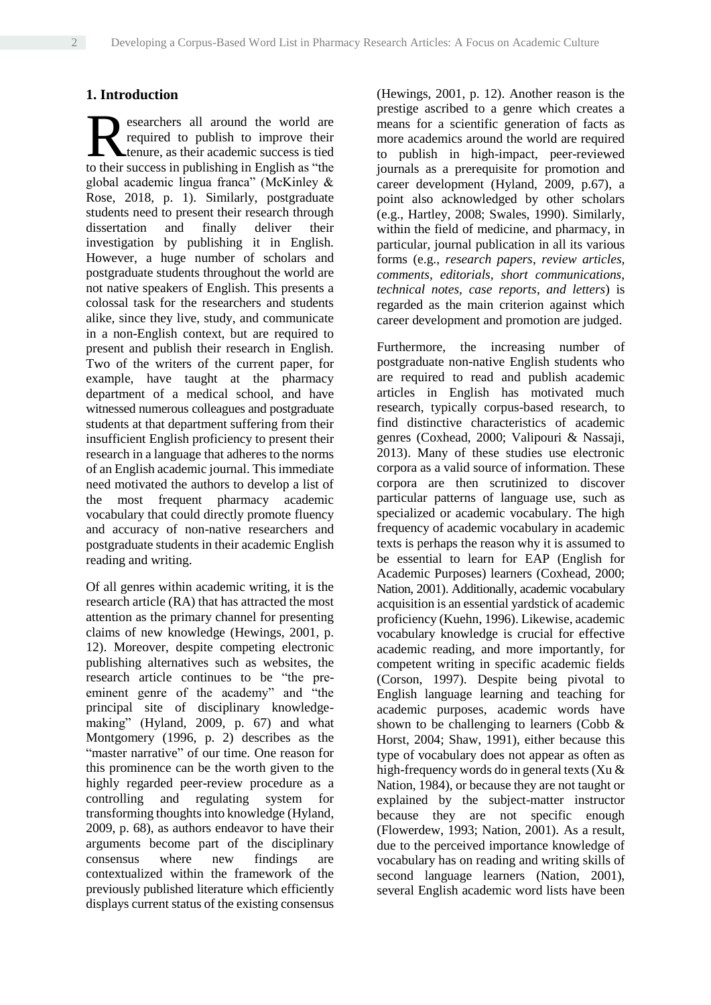## **1. Introduction**

esearchers all around the world are required to publish to improve their tenure, as their academic success is tied searchers all around the world are required to publish to improve their tenure, as their academic success is tied to their success in publishing in English as "the global academic lingua franca" (McKinley & Rose, 2018, p. 1). Similarly, postgraduate students need to present their research through dissertation and finally deliver their investigation by publishing it in English. However, a huge number of scholars and postgraduate students throughout the world are not native speakers of English. This presents a colossal task for the researchers and students alike, since they live, study, and communicate in a non-English context, but are required to present and publish their research in English. Two of the writers of the current paper, for example, have taught at the pharmacy department of a medical school, and have witnessed numerous colleagues and postgraduate students at that department suffering from their insufficient English proficiency to present their research in a language that adheres to the norms of an English academic journal. This immediate need motivated the authors to develop a list of the most frequent pharmacy academic vocabulary that could directly promote fluency and accuracy of non-native researchers and postgraduate students in their academic English reading and writing.

Of all genres within academic writing, it is the research article (RA) that has attracted the most attention as the primary channel for presenting claims of new knowledge (Hewings, 2001, p. 12). Moreover, despite competing electronic publishing alternatives such as websites, the research article continues to be "the preeminent genre of the academy" and "the principal site of disciplinary knowledgemaking" (Hyland, 2009, p. 67) and what Montgomery (1996, p. 2) describes as the "master narrative" of our time. One reason for this prominence can be the worth given to the highly regarded peer-review procedure as a controlling and regulating system for transforming thoughts into knowledge (Hyland, 2009, p. 68), as authors endeavor to have their arguments become part of the disciplinary consensus where new findings are contextualized within the framework of the previously published literature which efficiently displays current status of the existing consensus (Hewings, 2001, p. 12). Another reason is the prestige ascribed to a genre which creates a means for a scientific generation of facts as more academics around the world are required to publish in high-impact, peer-reviewed journals as a prerequisite for promotion and career development (Hyland, 2009, p.67), a point also acknowledged by other scholars (e.g., Hartley, 2008; Swales, 1990). Similarly, within the field of medicine, and pharmacy, in particular, journal publication in all its various forms (e.g., *research papers*, *review articles, comments, editorials, short communications, technical notes, case reports*, *and letters*) is regarded as the main criterion against which career development and promotion are judged.

Furthermore, the increasing number of postgraduate non-native English students who are required to read and publish academic articles in English has motivated much research, typically corpus-based research, to find distinctive characteristics of academic genres (Coxhead, 2000; Valipouri & Nassaji, 2013). Many of these studies use electronic corpora as a valid source of information. These corpora are then scrutinized to discover particular patterns of language use, such as specialized or academic vocabulary. The high frequency of academic vocabulary in academic texts is perhaps the reason why it is assumed to be essential to learn for EAP (English for Academic Purposes) learners (Coxhead, 2000; Nation, 2001). Additionally, academic vocabulary acquisition is an essential yardstick of academic proficiency (Kuehn, 1996). Likewise, academic vocabulary knowledge is crucial for effective academic reading, and more importantly, for competent writing in specific academic fields (Corson, 1997). Despite being pivotal to English language learning and teaching for academic purposes, academic words have shown to be challenging to learners (Cobb & Horst, 2004; Shaw, 1991), either because this type of vocabulary does not appear as often as high-frequency words do in general texts (Xu & Nation, 1984), or because they are not taught or explained by the subject-matter instructor because they are not specific enough (Flowerdew, 1993; Nation, 2001). As a result, due to the perceived importance knowledge of vocabulary has on reading and writing skills of second language learners (Nation, 2001), several English academic word lists have been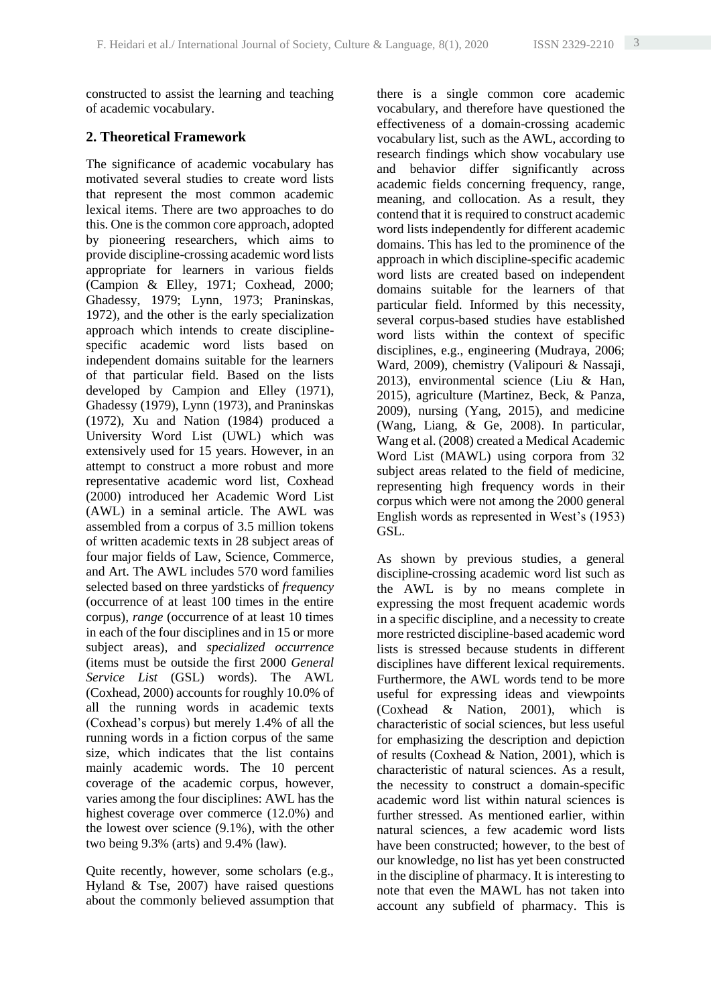constructed to assist the learning and teaching of academic vocabulary.

### **2. Theoretical Framework**

The significance of academic vocabulary has motivated several studies to create word lists that represent the most common academic lexical items. There are two approaches to do this. One is the common core approach, adopted by pioneering researchers, which aims to provide discipline-crossing academic word lists appropriate for learners in various fields (Campion & Elley, 1971; Coxhead, 2000; Ghadessy, 1979; Lynn, 1973; Praninskas, 1972), and the other is the early specialization approach which intends to create disciplinespecific academic word lists based on independent domains suitable for the learners of that particular field. Based on the lists developed by Campion and Elley (1971), Ghadessy (1979), Lynn (1973), and Praninskas (1972), Xu and Nation (1984) produced a University Word List (UWL) which was extensively used for 15 years. However, in an attempt to construct a more robust and more representative academic word list, Coxhead (2000) introduced her Academic Word List (AWL) in a seminal article. The AWL was assembled from a corpus of 3.5 million tokens of written academic texts in 28 subject areas of four major fields of Law, Science, Commerce, and Art. The AWL includes 570 word families selected based on three yardsticks of *frequency* (occurrence of at least 100 times in the entire corpus), *range* (occurrence of at least 10 times in each of the four disciplines and in 15 or more subject areas), and *specialized occurrence* (items must be outside the first 2000 *General Service List* (GSL) words). The AWL (Coxhead, 2000) accounts for roughly 10.0% of all the running words in academic texts (Coxhead's corpus) but merely 1.4% of all the running words in a fiction corpus of the same size, which indicates that the list contains mainly academic words. The 10 percent coverage of the academic corpus, however, varies among the four disciplines: AWL has the highest coverage over commerce (12.0%) and the lowest over science (9.1%), with the other two being 9.3% (arts) and 9.4% (law).

Quite recently, however, some scholars (e.g., Hyland & Tse, 2007) have raised questions about the commonly believed assumption that there is a single common core academic vocabulary, and therefore have questioned the effectiveness of a domain-crossing academic vocabulary list, such as the AWL, according to research findings which show vocabulary use and behavior differ significantly across academic fields concerning frequency, range, meaning, and collocation. As a result, they contend that it is required to construct academic word lists independently for different academic domains. This has led to the prominence of the approach in which discipline-specific academic word lists are created based on independent domains suitable for the learners of that particular field. Informed by this necessity, several corpus-based studies have established word lists within the context of specific disciplines, e.g., engineering (Mudraya, 2006; Ward, 2009), chemistry (Valipouri & Nassaji, 2013), environmental science (Liu & Han, 2015), agriculture (Martinez, Beck, & Panza, 2009), nursing (Yang, 2015), and medicine (Wang, Liang, & Ge, 2008). In particular, Wang et al. (2008) created a Medical Academic Word List (MAWL) using corpora from 32 subject areas related to the field of medicine, representing high frequency words in their corpus which were not among the 2000 general English words as represented in West's (1953) GSL.

As shown by previous studies, a general discipline-crossing academic word list such as the AWL is by no means complete in expressing the most frequent academic words in a specific discipline, and a necessity to create more restricted discipline-based academic word lists is stressed because students in different disciplines have different lexical requirements. Furthermore, the AWL words tend to be more useful for expressing ideas and viewpoints (Coxhead & Nation, 2001), which is characteristic of social sciences, but less useful for emphasizing the description and depiction of results (Coxhead & Nation, 2001), which is characteristic of natural sciences. As a result, the necessity to construct a domain-specific academic word list within natural sciences is further stressed. As mentioned earlier, within natural sciences, a few academic word lists have been constructed; however, to the best of our knowledge, no list has yet been constructed in the discipline of pharmacy. It is interesting to note that even the MAWL has not taken into account any subfield of pharmacy. This is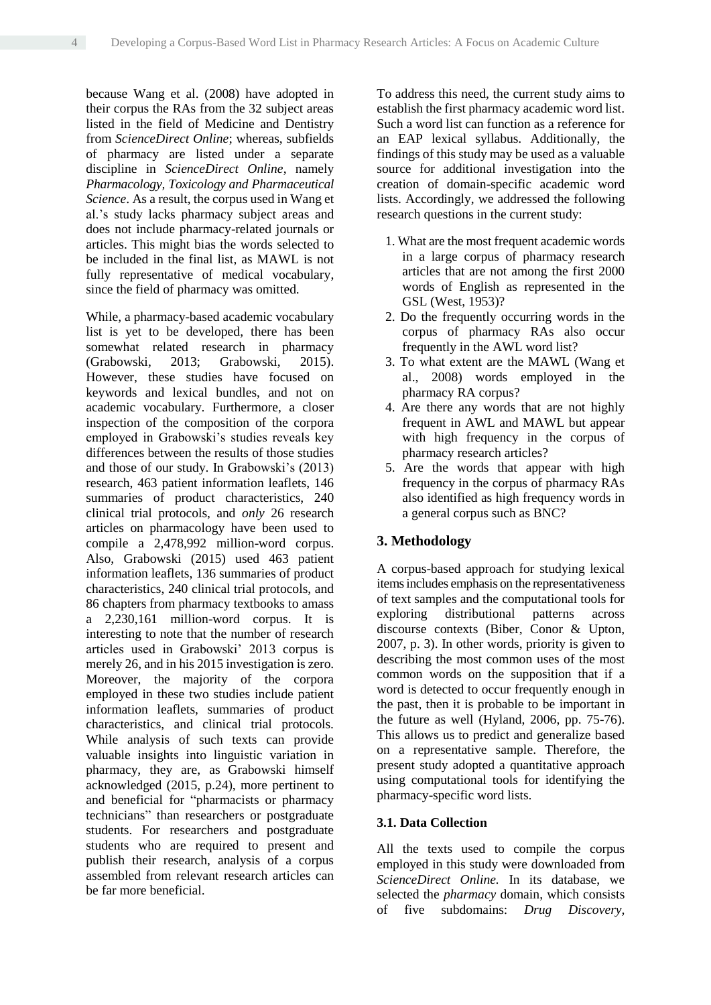because Wang et al. (2008) have adopted in their corpus the RAs from the 32 subject areas listed in the field of Medicine and Dentistry from *ScienceDirect Online*; whereas, subfields of pharmacy are listed under a separate discipline in *ScienceDirect Online*, namely *Pharmacology, Toxicology and Pharmaceutical Science*. As a result, the corpus used in Wang et al.'s study lacks pharmacy subject areas and does not include pharmacy-related journals or articles. This might bias the words selected to be included in the final list, as MAWL is not fully representative of medical vocabulary, since the field of pharmacy was omitted.

While, a pharmacy-based academic vocabulary list is yet to be developed, there has been somewhat related research in pharmacy (Grabowski, 2013; Grabowski, 2015). However, these studies have focused on keywords and lexical bundles, and not on academic vocabulary. Furthermore, a closer inspection of the composition of the corpora employed in Grabowski's studies reveals key differences between the results of those studies and those of our study. In Grabowski's (2013) research, 463 patient information leaflets, 146 summaries of product characteristics, 240 clinical trial protocols, and *only* 26 research articles on pharmacology have been used to compile a 2,478,992 million-word corpus. Also, Grabowski (2015) used 463 patient information leaflets, 136 summaries of product characteristics, 240 clinical trial protocols, and 86 chapters from pharmacy textbooks to amass a 2,230,161 million-word corpus. It is interesting to note that the number of research articles used in Grabowski' 2013 corpus is merely 26, and in his 2015 investigation is zero. Moreover, the majority of the corpora employed in these two studies include patient information leaflets, summaries of product characteristics, and clinical trial protocols. While analysis of such texts can provide valuable insights into linguistic variation in pharmacy, they are, as Grabowski himself acknowledged (2015, p.24), more pertinent to and beneficial for "pharmacists or pharmacy technicians" than researchers or postgraduate students. For researchers and postgraduate students who are required to present and publish their research, analysis of a corpus assembled from relevant research articles can be far more beneficial.

To address this need, the current study aims to establish the first pharmacy academic word list. Such a word list can function as a reference for an EAP lexical syllabus. Additionally, the findings of this study may be used as a valuable source for additional investigation into the creation of domain-specific academic word lists. Accordingly, we addressed the following research questions in the current study:

- 1. What are the most frequent academic words in a large corpus of pharmacy research articles that are not among the first 2000 words of English as represented in the GSL (West, 1953)?
- 2. Do the frequently occurring words in the corpus of pharmacy RAs also occur frequently in the AWL word list?
- 3. To what extent are the MAWL (Wang et al., 2008) words employed in the pharmacy RA corpus?
- 4. Are there any words that are not highly frequent in AWL and MAWL but appear with high frequency in the corpus of pharmacy research articles?
- 5. Are the words that appear with high frequency in the corpus of pharmacy RAs also identified as high frequency words in a general corpus such as BNC?

## **3. Methodology**

A corpus-based approach for studying lexical itemsincludes emphasis on the representativeness of text samples and the computational tools for exploring distributional patterns across discourse contexts (Biber, Conor & Upton, 2007, p. 3). In other words, priority is given to describing the most common uses of the most common words on the supposition that if a word is detected to occur frequently enough in the past, then it is probable to be important in the future as well (Hyland, 2006, pp. 75-76). This allows us to predict and generalize based on a representative sample. Therefore, the present study adopted a quantitative approach using computational tools for identifying the pharmacy-specific word lists.

#### **3.1. Data Collection**

All the texts used to compile the corpus employed in this study were downloaded from *ScienceDirect Online.* In its database, we selected the *pharmacy* domain, which consists of five subdomains: *Drug Discovery,*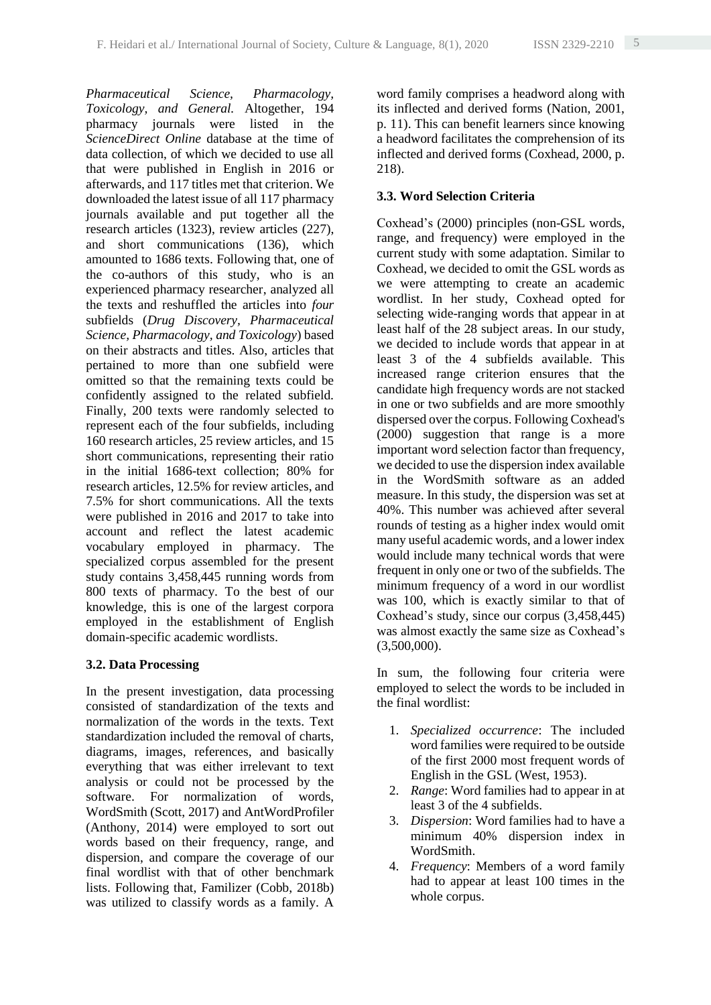*Pharmaceutical Science, Pharmacology, Toxicology, and General.* Altogether, 194 pharmacy journals were listed in the *ScienceDirect Online* database at the time of data collection, of which we decided to use all that were published in English in 2016 or afterwards, and 117 titles met that criterion. We downloaded the latest issue of all 117 pharmacy journals available and put together all the research articles (1323), review articles (227), and short communications (136), which amounted to 1686 texts. Following that, one of the co-authors of this study, who is an experienced pharmacy researcher, analyzed all the texts and reshuffled the articles into *four* subfields (*Drug Discovery, Pharmaceutical Science, Pharmacology, and Toxicology*) based on their abstracts and titles. Also, articles that pertained to more than one subfield were omitted so that the remaining texts could be confidently assigned to the related subfield. Finally, 200 texts were randomly selected to represent each of the four subfields, including 160 research articles, 25 review articles, and 15 short communications, representing their ratio in the initial 1686-text collection; 80% for research articles, 12.5% for review articles, and 7.5% for short communications. All the texts were published in 2016 and 2017 to take into account and reflect the latest academic vocabulary employed in pharmacy. The specialized corpus assembled for the present study contains 3,458,445 running words from 800 texts of pharmacy. To the best of our knowledge, this is one of the largest corpora employed in the establishment of English domain-specific academic wordlists.

## **3.2. Data Processing**

In the present investigation, data processing consisted of standardization of the texts and normalization of the words in the texts. Text standardization included the removal of charts, diagrams, images, references, and basically everything that was either irrelevant to text analysis or could not be processed by the software. For normalization of words, WordSmith (Scott, 2017) and AntWordProfiler (Anthony, 2014) were employed to sort out words based on their frequency, range, and dispersion, and compare the coverage of our final wordlist with that of other benchmark lists. Following that, Familizer (Cobb, 2018b) was utilized to classify words as a family. A

word family comprises a headword along with its inflected and derived forms (Nation, 2001, p. 11). This can benefit learners since knowing a headword facilitates the comprehension of its inflected and derived forms (Coxhead, 2000, p. 218).

## **3.3. Word Selection Criteria**

Coxhead's (2000) principles (non-GSL words, range, and frequency) were employed in the current study with some adaptation. Similar to Coxhead, we decided to omit the GSL words as we were attempting to create an academic wordlist. In her study, Coxhead opted for selecting wide-ranging words that appear in at least half of the 28 subject areas. In our study, we decided to include words that appear in at least 3 of the 4 subfields available. This increased range criterion ensures that the candidate high frequency words are not stacked in one or two subfields and are more smoothly dispersed over the corpus. Following Coxhead's (2000) suggestion that range is a more important word selection factor than frequency, we decided to use the dispersion index available in the WordSmith software as an added measure. In this study, the dispersion was set at 40%. This number was achieved after several rounds of testing as a higher index would omit many useful academic words, and a lower index would include many technical words that were frequent in only one or two of the subfields. The minimum frequency of a word in our wordlist was 100, which is exactly similar to that of Coxhead's study, since our corpus (3,458,445) was almost exactly the same size as Coxhead's  $(3,500,000)$ .

In sum, the following four criteria were employed to select the words to be included in the final wordlist:

- 1. *Specialized occurrence*: The included word families were required to be outside of the first 2000 most frequent words of English in the GSL (West, 1953).
- 2. *Range*: Word families had to appear in at least 3 of the 4 subfields.
- 3. *Dispersion*: Word families had to have a minimum 40% dispersion index in WordSmith.
- 4. *Frequency*: Members of a word family had to appear at least 100 times in the whole corpus.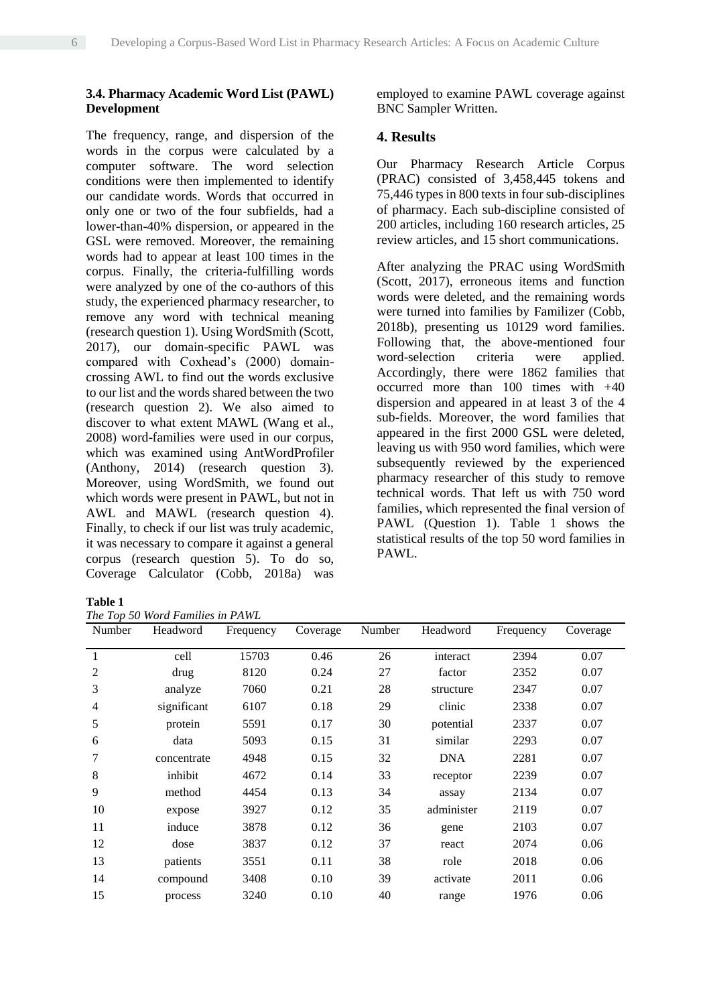#### **3.4. Pharmacy Academic Word List (PAWL) Development**

The frequency, range, and dispersion of the words in the corpus were calculated by a computer software. The word selection conditions were then implemented to identify our candidate words. Words that occurred in only one or two of the four subfields, had a lower-than-40% dispersion, or appeared in the GSL were removed. Moreover, the remaining words had to appear at least 100 times in the corpus. Finally, the criteria-fulfilling words were analyzed by one of the co-authors of this study, the experienced pharmacy researcher, to remove any word with technical meaning (research question 1). Using WordSmith (Scott, 2017), our domain-specific PAWL was compared with Coxhead's (2000) domaincrossing AWL to find out the words exclusive to our list and the words shared between the two (research question 2). We also aimed to discover to what extent MAWL (Wang et al., 2008) word-families were used in our corpus, which was examined using AntWordProfiler (Anthony, 2014) (research question 3). Moreover, using WordSmith, we found out which words were present in PAWL, but not in AWL and MAWL (research question 4). Finally, to check if our list was truly academic, it was necessary to compare it against a general corpus (research question 5). To do so, Coverage Calculator (Cobb, 2018a) was

**Table 1**

*The Top 50 Word Families in PAWL*

employed to examine PAWL coverage against BNC Sampler Written.

## **4. Results**

Our Pharmacy Research Article Corpus (PRAC) consisted of 3,458,445 tokens and 75,446 types in 800 texts in four sub-disciplines of pharmacy. Each sub-discipline consisted of 200 articles, including 160 research articles, 25 review articles, and 15 short communications.

After analyzing the PRAC using WordSmith (Scott, 2017), erroneous items and function words were deleted, and the remaining words were turned into families by Familizer (Cobb, 2018b), presenting us 10129 word families. Following that, the above-mentioned four word-selection criteria were applied. Accordingly, there were 1862 families that occurred more than 100 times with +40 dispersion and appeared in at least 3 of the 4 sub-fields. Moreover, the word families that appeared in the first 2000 GSL were deleted, leaving us with 950 word families, which were subsequently reviewed by the experienced pharmacy researcher of this study to remove technical words. That left us with 750 word families, which represented the final version of PAWL (Question 1). Table 1 shows the statistical results of the top 50 word families in PAWL.

| Number       | Headword    | Frequency | Coverage | Number | Headword   | Frequency | Coverage |
|--------------|-------------|-----------|----------|--------|------------|-----------|----------|
| $\mathbf{1}$ | cell        | 15703     | 0.46     | 26     | interact   | 2394      | 0.07     |
| 2            | drug        | 8120      | 0.24     | 27     | factor     | 2352      | 0.07     |
| 3            | analyze     | 7060      | 0.21     | 28     | structure  | 2347      | 0.07     |
| 4            | significant | 6107      | 0.18     | 29     | clinic     | 2338      | 0.07     |
| 5            | protein     | 5591      | 0.17     | 30     | potential  | 2337      | 0.07     |
| 6            | data        | 5093      | 0.15     | 31     | similar    | 2293      | 0.07     |
| 7            | concentrate | 4948      | 0.15     | 32     | <b>DNA</b> | 2281      | 0.07     |
| 8            | inhibit     | 4672      | 0.14     | 33     | receptor   | 2239      | 0.07     |
| 9            | method      | 4454      | 0.13     | 34     | assay      | 2134      | 0.07     |
| 10           | expose      | 3927      | 0.12     | 35     | administer | 2119      | 0.07     |
| 11           | induce      | 3878      | 0.12     | 36     | gene       | 2103      | 0.07     |
| 12           | dose        | 3837      | 0.12     | 37     | react      | 2074      | 0.06     |
| 13           | patients    | 3551      | 0.11     | 38     | role       | 2018      | 0.06     |
| 14           | compound    | 3408      | 0.10     | 39     | activate   | 2011      | 0.06     |
| 15           | process     | 3240      | 0.10     | 40     | range      | 1976      | 0.06     |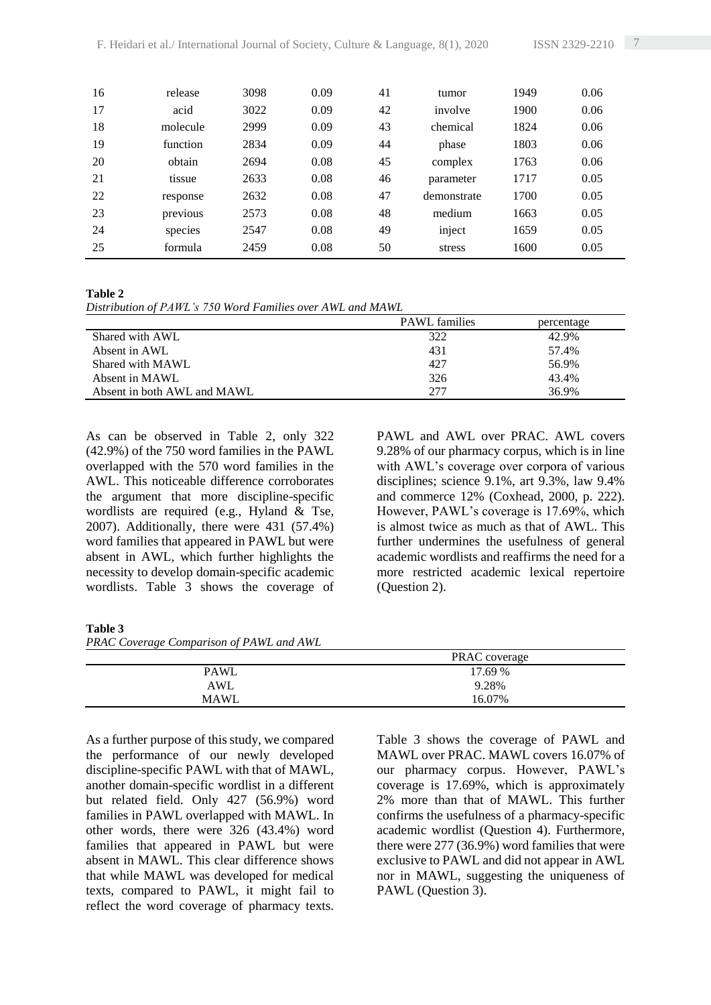| 16 | release  | 3098 | 0.09 | 41 | tumor       | 1949 | 0.06 |
|----|----------|------|------|----|-------------|------|------|
| 17 | acid     | 3022 | 0.09 | 42 | involve     | 1900 | 0.06 |
| 18 | molecule | 2999 | 0.09 | 43 | chemical    | 1824 | 0.06 |
| 19 | function | 2834 | 0.09 | 44 | phase       | 1803 | 0.06 |
| 20 | obtain   | 2694 | 0.08 | 45 | complex     | 1763 | 0.06 |
| 21 | tissue   | 2633 | 0.08 | 46 | parameter   | 1717 | 0.05 |
| 22 | response | 2632 | 0.08 | 47 | demonstrate | 1700 | 0.05 |
| 23 | previous | 2573 | 0.08 | 48 | medium      | 1663 | 0.05 |
| 24 | species  | 2547 | 0.08 | 49 | inject      | 1659 | 0.05 |
| 25 | formula  | 2459 | 0.08 | 50 | stress      | 1600 | 0.05 |

#### **Table 2**

*Distribution of PAWL's 750 Word Families over AWL and MAWL*

|                             | <b>PAWL</b> families | percentage |
|-----------------------------|----------------------|------------|
| Shared with AWL             | 322                  | 42.9%      |
| Absent in AWL               | 431                  | 57.4%      |
| Shared with MAWL            | 427                  | 56.9%      |
| Absent in MAWL              | 326                  | 43.4%      |
| Absent in both AWL and MAWL | 277                  | 36.9%      |

As can be observed in Table 2, only 322 (42.9%) of the 750 word families in the PAWL overlapped with the 570 word families in the AWL. This noticeable difference corroborates the argument that more discipline-specific wordlists are required (e.g., Hyland & Tse, 2007). Additionally, there were 431 (57.4%) word families that appeared in PAWL but were absent in AWL, which further highlights the necessity to develop domain-specific academic wordlists. Table 3 shows the coverage of PAWL and AWL over PRAC. AWL covers 9.28% of our pharmacy corpus, which is in line with AWL's coverage over corpora of various disciplines; science 9.1%, art 9.3%, law 9.4% and commerce 12% (Coxhead, 2000, p. 222). However, PAWL's coverage is 17.69%, which is almost twice as much as that of AWL. This further undermines the usefulness of general academic wordlists and reaffirms the need for a more restricted academic lexical repertoire (Question 2).

#### **Table 3**

*PRAC Coverage Comparison of PAWL and AWL*

|             | PRAC coverage |
|-------------|---------------|
| PAWL        | 17.69 %       |
| AWL         | 9.28%         |
| <b>MAWL</b> | 16.07%        |
|             |               |

As a further purpose of this study, we compared the performance of our newly developed discipline-specific PAWL with that of MAWL, another domain-specific wordlist in a different but related field. Only 427 (56.9%) word families in PAWL overlapped with MAWL. In other words, there were 326 (43.4%) word families that appeared in PAWL but were absent in MAWL. This clear difference shows that while MAWL was developed for medical texts, compared to PAWL, it might fail to reflect the word coverage of pharmacy texts.

Table 3 shows the coverage of PAWL and MAWL over PRAC. MAWL covers 16.07% of our pharmacy corpus. However, PAWL's coverage is 17.69%, which is approximately 2% more than that of MAWL. This further confirms the usefulness of a pharmacy-specific academic wordlist (Question 4). Furthermore, there were 277 (36.9%) word families that were exclusive to PAWL and did not appear in AWL nor in MAWL, suggesting the uniqueness of PAWL (Question 3).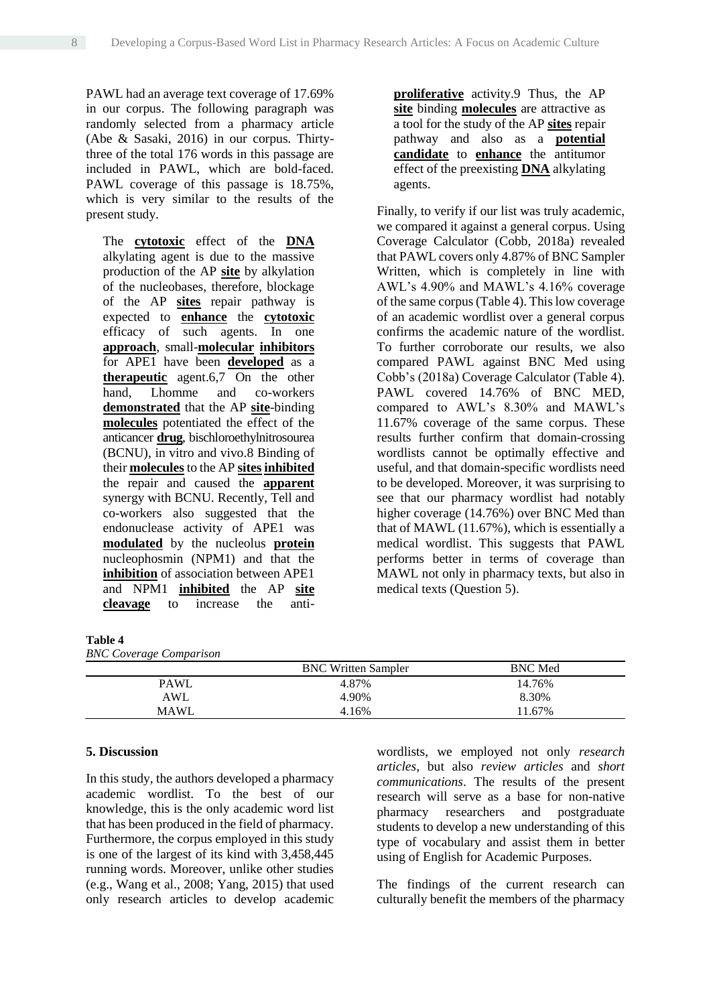PAWL had an average text coverage of 17.69% in our corpus. The following paragraph was randomly selected from a pharmacy article (Abe & Sasaki, 2016) in our corpus. Thirtythree of the total 176 words in this passage are included in PAWL, which are bold-faced. PAWL coverage of this passage is 18.75%, which is very similar to the results of the present study.

The **cytotoxic** effect of the **DNA** alkylating agent is due to the massive production of the AP **site** by alkylation of the nucleobases, therefore, blockage of the AP **sites** repair pathway is expected to **enhance** the **cytotoxic** efficacy of such agents. In one **approach**, small-**molecular inhibitors** for APE1 have been **developed** as a **therapeutic** agent.6,7 On the other hand, Lhomme and co-workers **demonstrated** that the AP **site**-binding **molecules** potentiated the effect of the anticancer **drug**, bischloroethylnitrosourea (BCNU), in vitro and vivo.8 Binding of their **molecules**to the AP **sitesinhibited** the repair and caused the **apparent** synergy with BCNU. Recently, Tell and co-workers also suggested that the endonuclease activity of APE1 was **modulated** by the nucleolus **protein** nucleophosmin (NPM1) and that the **inhibition** of association between APE1 and NPM1 **inhibited** the AP **site cleavage** to increase the anti**proliferative** activity.9 Thus, the AP **site** binding **molecules** are attractive as a tool for the study of the AP **sites** repair pathway and also as a **potential candidate** to **enhance** the antitumor effect of the preexisting **DNA** alkylating agents.

Finally, to verify if our list was truly academic, we compared it against a general corpus. Using Coverage Calculator (Cobb, 2018a) revealed that PAWL covers only 4.87% of BNC Sampler Written, which is completely in line with AWL's 4.90% and MAWL's 4.16% coverage of the same corpus(Table 4). This low coverage of an academic wordlist over a general corpus confirms the academic nature of the wordlist. To further corroborate our results, we also compared PAWL against BNC Med using Cobb's (2018a) Coverage Calculator (Table 4). PAWL covered 14.76% of BNC MED, compared to AWL's 8.30% and MAWL's 11.67% coverage of the same corpus. These results further confirm that domain-crossing wordlists cannot be optimally effective and useful, and that domain-specific wordlists need to be developed. Moreover, it was surprising to see that our pharmacy wordlist had notably higher coverage (14.76%) over BNC Med than that of MAWL (11.67%), which is essentially a medical wordlist. This suggests that PAWL performs better in terms of coverage than MAWL not only in pharmacy texts, but also in medical texts (Question 5).

## **Table 4**

| <b>BNC</b> Coverage Comparison |  |
|--------------------------------|--|
|                                |  |

|             | <b>BNC</b> Written Sampler | <b>BNC</b> Med |
|-------------|----------------------------|----------------|
| <b>PAWL</b> | 4.87%                      | 14.76%         |
| AWL         | 4.90%                      | 8.30%          |
| <b>MAWL</b> | 4.16%                      | 11.67%         |

## **5. Discussion**

In this study, the authors developed a pharmacy academic wordlist. To the best of our knowledge, this is the only academic word list that has been produced in the field of pharmacy. Furthermore, the corpus employed in this study is one of the largest of its kind with 3,458,445 running words. Moreover, unlike other studies (e.g., Wang et al., 2008; Yang, 2015) that used only research articles to develop academic

wordlists, we employed not only *research articles*, but also *review articles* and *short communications*. The results of the present research will serve as a base for non-native pharmacy researchers and postgraduate students to develop a new understanding of this type of vocabulary and assist them in better using of English for Academic Purposes.

The findings of the current research can culturally benefit the members of the pharmacy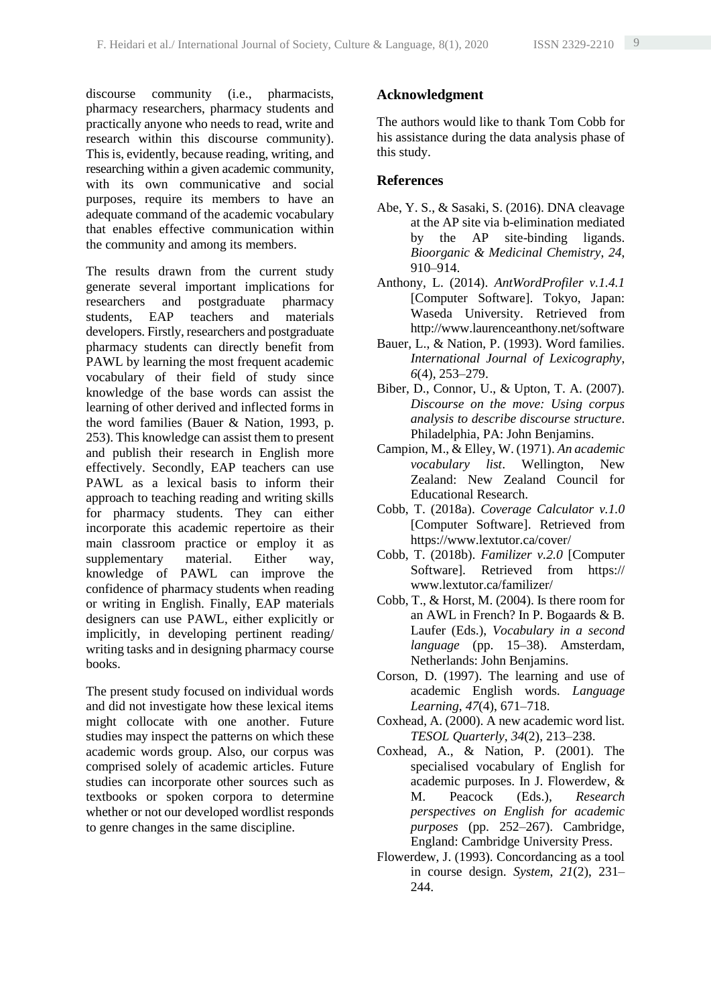discourse community (i.e., pharmacists, pharmacy researchers, pharmacy students and practically anyone who needs to read, write and research within this discourse community). This is, evidently, because reading, writing, and researching within a given academic community, with its own communicative and social purposes, require its members to have an adequate command of the academic vocabulary that enables effective communication within the community and among its members.

The results drawn from the current study generate several important implications for researchers and postgraduate pharmacy students, EAP teachers and materials developers. Firstly, researchers and postgraduate pharmacy students can directly benefit from PAWL by learning the most frequent academic vocabulary of their field of study since knowledge of the base words can assist the learning of other derived and inflected forms in the word families (Bauer & Nation, 1993, p. 253). This knowledge can assist them to present and publish their research in English more effectively. Secondly, EAP teachers can use PAWL as a lexical basis to inform their approach to teaching reading and writing skills for pharmacy students. They can either incorporate this academic repertoire as their main classroom practice or employ it as supplementary material. Either way, knowledge of PAWL can improve the confidence of pharmacy students when reading or writing in English. Finally, EAP materials designers can use PAWL, either explicitly or implicitly, in developing pertinent reading/ writing tasks and in designing pharmacy course books.

The present study focused on individual words and did not investigate how these lexical items might collocate with one another. Future studies may inspect the patterns on which these academic words group. Also, our corpus was comprised solely of academic articles. Future studies can incorporate other sources such as textbooks or spoken corpora to determine whether or not our developed wordlist responds to genre changes in the same discipline.

## **Acknowledgment**

The authors would like to thank Tom Cobb for his assistance during the data analysis phase of this study.

## **References**

- Abe, Y. S., & Sasaki, S. (2016). DNA cleavage at the AP site via b-elimination mediated by the AP site-binding ligands. *Bioorganic & Medicinal Chemistry*, *24*, 910–914.
- Anthony, L. (2014). *AntWordProfiler v.1.4.1* [Computer Software]. Tokyo, Japan: Waseda University. Retrieved from http://www.laurenceanthony.net/software
- Bauer, L., & Nation, P. (1993). Word families. *International Journal of Lexicography*, *6*(4), 253–279.
- Biber, D., Connor, U., & Upton, T. A. (2007). *Discourse on the move: Using corpus analysis to describe discourse structure*. Philadelphia, PA: John Benjamins.
- Campion, M., & Elley, W. (1971). *An academic vocabulary list*. Wellington, New Zealand: New Zealand Council for Educational Research.
- Cobb, T. (2018a). *Coverage Calculator v.1.0* [Computer Software]. Retrieved from https://www.lextutor.ca/cover/
- Cobb, T. (2018b). *Familizer v.2.0* [Computer Softwarel. Retrieved from https:// www.lextutor.ca/familizer/
- Cobb, T., & Horst, M. (2004). Is there room for an AWL in French? In P. Bogaards & B. Laufer (Eds.), *Vocabulary in a second language* (pp. 15–38). Amsterdam, Netherlands: John Benjamins.
- Corson, D. (1997). The learning and use of academic English words. *Language Learning*, *47*(4), 671–718.
- Coxhead, A. (2000). A new academic word list. *TESOL Quarterly*, *34*(2), 213–238.
- Coxhead, A., & Nation, P. (2001). The specialised vocabulary of English for academic purposes. In J. Flowerdew, & M. Peacock (Eds.), *Research perspectives on English for academic purposes* (pp. 252–267). Cambridge, England: Cambridge University Press.
- Flowerdew, J. (1993). Concordancing as a tool in course design. *System*, *21*(2), 231– 244.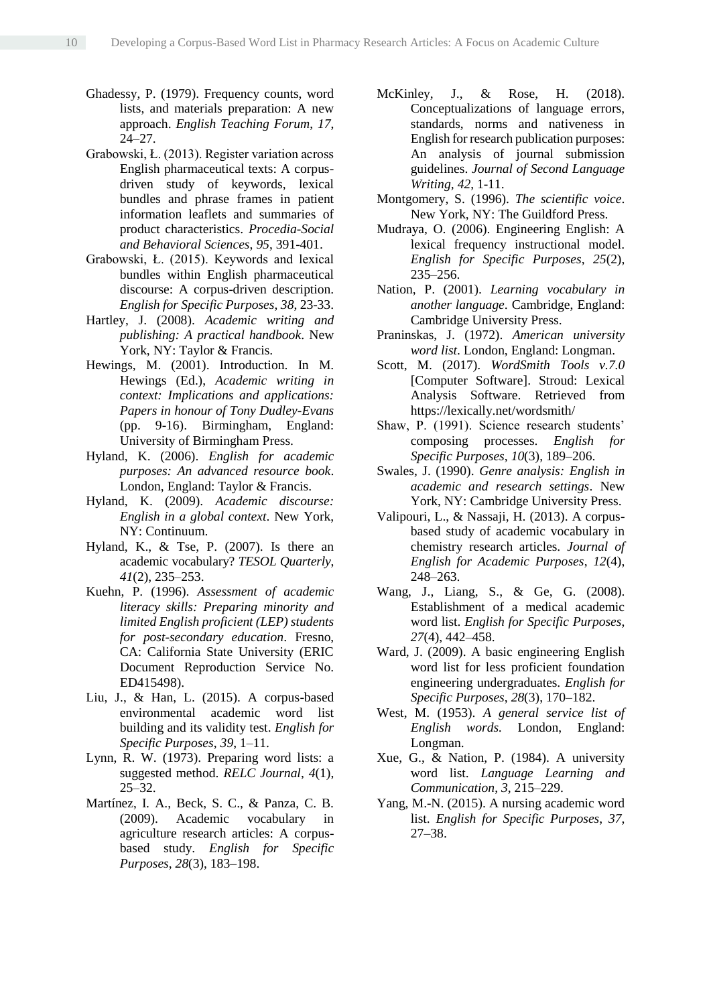- Ghadessy, P. (1979). Frequency counts, word lists, and materials preparation: A new approach. *English Teaching Forum*, *17*, 24–27.
- Grabowski, Ł. (2013). Register variation across English pharmaceutical texts: A corpusdriven study of keywords, lexical bundles and phrase frames in patient information leaflets and summaries of product characteristics. *Procedia-Social and Behavioral Sciences*, *95*, 391-401.
- Grabowski, Ł. (2015). Keywords and lexical bundles within English pharmaceutical discourse: A corpus-driven description. *English for Specific Purposes*, *38*, 23-33.
- Hartley, J. (2008). *Academic writing and publishing: A practical handbook*. New York, NY: Taylor & Francis.
- Hewings, M. (2001). Introduction. In M. Hewings (Ed.), *Academic writing in context: Implications and applications: Papers in honour of Tony Dudley-Evans* (pp. 9-16). Birmingham, England: University of Birmingham Press.
- Hyland, K. (2006). *English for academic purposes: An advanced resource book*. London, England: Taylor & Francis.
- Hyland, K. (2009). *Academic discourse: English in a global context*. New York, NY: Continuum.
- Hyland, K., & Tse, P. (2007). Is there an academic vocabulary? *TESOL Quarterly*, *41*(2), 235–253.
- Kuehn, P. (1996). *Assessment of academic literacy skills: Preparing minority and limited English proficient (LEP) students for post-secondary education*. Fresno, CA: California State University (ERIC Document Reproduction Service No. ED415498).
- Liu, J., & Han, L. (2015). A corpus-based environmental academic word list building and its validity test. *English for Specific Purposes*, *39*, 1–11.
- Lynn, R. W. (1973). Preparing word lists: a suggested method. *RELC Journal*, *4*(1), 25–32.
- Martínez, I. A., Beck, S. C., & Panza, C. B. (2009). Academic vocabulary in agriculture research articles: A corpusbased study. *English for Specific Purposes*, *28*(3), 183–198.
- McKinley, J., & Rose, H. (2018). Conceptualizations of language errors, standards, norms and nativeness in English for research publication purposes: An analysis of journal submission guidelines. *Journal of Second Language Writing, 42*, 1-11.
- Montgomery, S. (1996). *The scientific voice*. New York, NY: The Guildford Press.
- Mudraya, O. (2006). Engineering English: A lexical frequency instructional model. *English for Specific Purposes*, *25*(2), 235–256.
- Nation, P. (2001). *Learning vocabulary in another language*. Cambridge, England: Cambridge University Press.
- Praninskas, J. (1972). *American university word list*. London, England: Longman.
- Scott, M. (2017). *WordSmith Tools v.7.0* [Computer Software]. Stroud: Lexical Analysis Software. Retrieved from https://lexically.net/wordsmith/
- Shaw, P. (1991). Science research students' composing processes. *English for Specific Purposes*, *10*(3), 189–206.
- Swales, J. (1990). *Genre analysis: English in academic and research settings*. New York, NY: Cambridge University Press.
- Valipouri, L., & Nassaji, H. (2013). A corpusbased study of academic vocabulary in chemistry research articles. *Journal of English for Academic Purposes*, *12*(4), 248–263.
- Wang, J., Liang, S., & Ge, G. (2008). Establishment of a medical academic word list. *English for Specific Purposes*, *27*(4), 442–458.
- Ward, J. (2009). A basic engineering English word list for less proficient foundation engineering undergraduates. *English for Specific Purposes*, *28*(3), 170–182.
- West, M. (1953). *A general service list of English words.* London, England: Longman.
- Xue, G., & Nation, P. (1984). A university word list. *Language Learning and Communication*, *3*, 215–229.
- Yang, M.-N. (2015). A nursing academic word list. *English for Specific Purposes*, *37*, 27–38.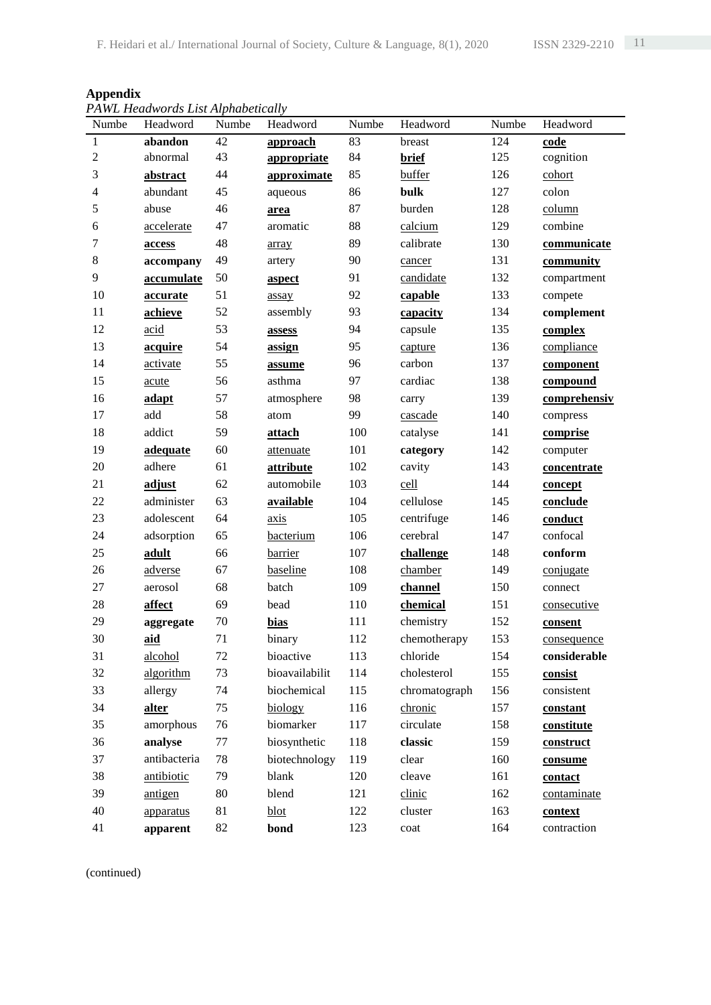| <b>Appendix</b>                    |  |
|------------------------------------|--|
| PAWL Headwords List Alphabetically |  |

|                          | ғ А һұ Епешиютиз Ензі Анрниренсин у |        |                |       |               |       |              |
|--------------------------|-------------------------------------|--------|----------------|-------|---------------|-------|--------------|
| Numbe                    | Headword                            | Numbe  | Headword       | Numbe | Headword      | Numbe | Headword     |
| $\,1$                    | abandon                             | 42     | approach       | 83    | breast        | 124   | code         |
| $\sqrt{2}$               | abnormal                            | 43     | appropriate    | 84    | <b>brief</b>  | 125   | cognition    |
| 3                        | abstract                            | 44     | approximate    | 85    | buffer        | 126   | cohort       |
| $\overline{\mathcal{L}}$ | abundant                            | 45     | aqueous        | 86    | bulk          | 127   | colon        |
| 5                        | abuse                               | 46     | area           | 87    | burden        | 128   | column       |
| 6                        | accelerate                          | 47     | aromatic       | 88    | calcium       | 129   | combine      |
| $\tau$                   | access                              | 48     | array          | 89    | calibrate     | 130   | communicate  |
| 8                        | accompany                           | 49     | artery         | 90    | cancer        | 131   | community    |
| 9                        | accumulate                          | 50     | aspect         | 91    | candidate     | 132   | compartment  |
| 10                       | accurate                            | 51     | assay          | 92    | capable       | 133   | compete      |
| 11                       | achieve                             | 52     | assembly       | 93    | capacity      | 134   | complement   |
| 12                       | acid                                | 53     | assess         | 94    | capsule       | 135   | complex      |
| 13                       | acquire                             | 54     | assign         | 95    | capture       | 136   | compliance   |
| 14                       | activate                            | 55     | assume         | 96    | carbon        | 137   | component    |
| 15                       | acute                               | 56     | asthma         | 97    | cardiac       | 138   | compound     |
| 16                       | adapt                               | 57     | atmosphere     | 98    | carry         | 139   | comprehensiv |
| 17                       | add                                 | 58     | atom           | 99    | cascade       | 140   | compress     |
| 18                       | addict                              | 59     | attach         | 100   | catalyse      | 141   | comprise     |
| 19                       | adequate                            | 60     | attenuate      | 101   | category      | 142   | computer     |
| 20                       | adhere                              | 61     | attribute      | 102   | cavity        | 143   | concentrate  |
| 21                       | adjust                              | 62     | automobile     | 103   | cell          | 144   | concept      |
| 22                       | administer                          | 63     | available      | 104   | cellulose     | 145   | conclude     |
| 23                       | adolescent                          | 64     | axis           | 105   | centrifuge    | 146   | conduct      |
| 24                       | adsorption                          | 65     | bacterium      | 106   | cerebral      | 147   | confocal     |
| 25                       | adult                               | 66     | barrier        | 107   | challenge     | 148   | conform      |
| 26                       | adverse                             | 67     | baseline       | 108   | chamber       | 149   | conjugate    |
| 27                       | aerosol                             | 68     | batch          | 109   | channel       | 150   | connect      |
| 28                       | affect                              | 69     | bead           | 110   | chemical      | 151   | consecutive  |
| 29                       | aggregate                           | $70\,$ | bias           | 111   | chemistry     | 152   | consent      |
| 30                       | aid                                 | 71     | binary         | 112   | chemotherapy  | 153   | consequence  |
| 31                       | alcohol                             | 72     | bioactive      | 113   | chloride      | 154   | considerable |
| 32                       | algorithm                           | 73     | bioavailabilit | 114   | cholesterol   | 155   | consist      |
| 33                       | allergy                             | 74     | biochemical    | 115   | chromatograph | 156   | consistent   |
| 34                       | alter                               | 75     | biology        | 116   | chronic       | 157   | constant     |
| 35                       | amorphous                           | 76     | biomarker      | 117   | circulate     | 158   | constitute   |
| 36                       | analyse                             | 77     | biosynthetic   | 118   | classic       | 159   | construct    |
| 37                       | antibacteria                        | $78\,$ | biotechnology  | 119   | clear         | 160   | consume      |
| 38                       | antibiotic                          | 79     | blank          | 120   | cleave        | 161   | contact      |
| 39                       | antigen                             | 80     | blend          | 121   | clinic        | 162   | contaminate  |
| 40                       | apparatus                           | 81     | blot           | 122   | cluster       | 163   | context      |
| 41                       | apparent                            | 82     | bond           | 123   | $\cot$        | 164   | contraction  |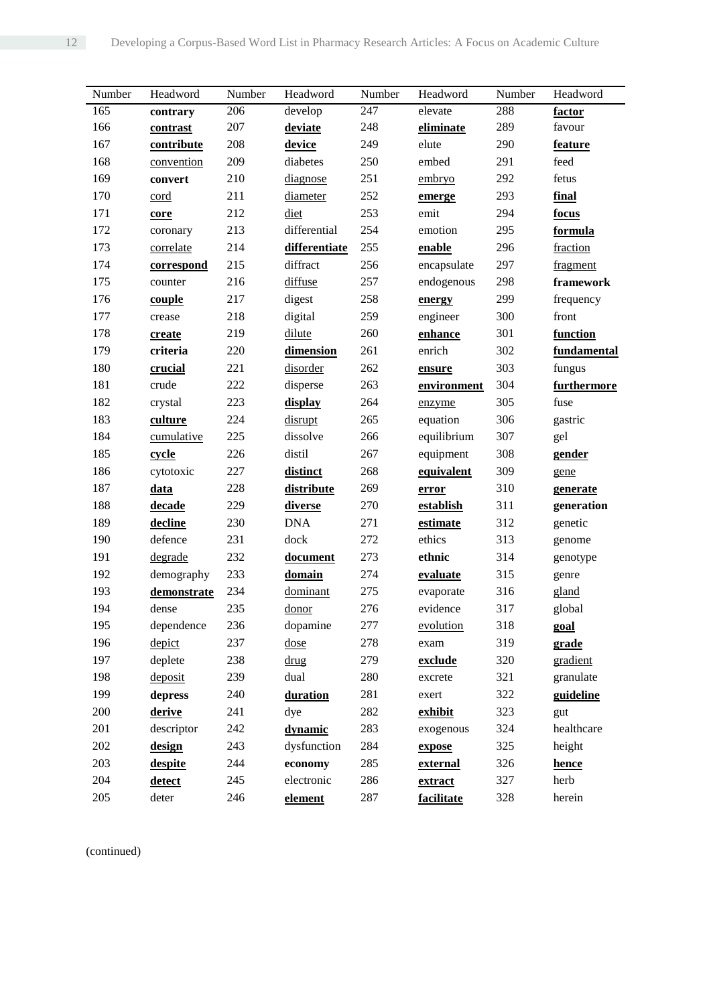| Number | Headword    | Number | Headword      | Number | Headword    | Number | Headword    |
|--------|-------------|--------|---------------|--------|-------------|--------|-------------|
| 165    | contrary    | 206    | develop       | 247    | elevate     | 288    | factor      |
| 166    | contrast    | 207    | deviate       | 248    | eliminate   | 289    | favour      |
| 167    | contribute  | 208    | device        | 249    | elute       | 290    | feature     |
| 168    | convention  | 209    | diabetes      | 250    | embed       | 291    | feed        |
| 169    | convert     | 210    | diagnose      | 251    | embryo      | 292    | fetus       |
| 170    | cord        | 211    | diameter      | 252    | emerge      | 293    | final       |
| 171    | core        | 212    | diet          | 253    | emit        | 294    | focus       |
| 172    | coronary    | 213    | differential  | 254    | emotion     | 295    | formula     |
| 173    | correlate   | 214    | differentiate | 255    | enable      | 296    | fraction    |
| 174    | correspond  | 215    | diffract      | 256    | encapsulate | 297    | fragment    |
| 175    | counter     | 216    | diffuse       | 257    | endogenous  | 298    | framework   |
| 176    | couple      | 217    | digest        | 258    | energy      | 299    | frequency   |
| 177    | crease      | 218    | digital       | 259    | engineer    | 300    | front       |
| 178    | create      | 219    | dilute        | 260    | enhance     | 301    | function    |
| 179    | criteria    | 220    | dimension     | 261    | enrich      | 302    | fundamental |
| 180    | crucial     | 221    | disorder      | 262    | ensure      | 303    | fungus      |
| 181    | crude       | 222    | disperse      | 263    | environment | 304    | furthermore |
| 182    | crystal     | 223    | display       | 264    | enzyme      | 305    | fuse        |
| 183    | culture     | 224    | disrupt       | 265    | equation    | 306    | gastric     |
| 184    | cumulative  | 225    | dissolve      | 266    | equilibrium | 307    | gel         |
| 185    | cycle       | 226    | distil        | 267    | equipment   | 308    | gender      |
| 186    | cytotoxic   | 227    | distinct      | 268    | equivalent  | 309    | gene        |
| 187    | data        | 228    | distribute    | 269    | error       | 310    | generate    |
| 188    | decade      | 229    | diverse       | 270    | establish   | 311    | generation  |
| 189    | decline     | 230    | <b>DNA</b>    | 271    | estimate    | 312    | genetic     |
| 190    | defence     | 231    | dock          | 272    | ethics      | 313    | genome      |
| 191    | degrade     | 232    | document      | 273    | ethnic      | 314    | genotype    |
| 192    | demography  | 233    | domain        | 274    | evaluate    | 315    | genre       |
| 193    | demonstrate | 234    | dominant      | 275    | evaporate   | 316    | gland       |
| 194    | dense       | 235    | donor         | 276    | evidence    | 317    | global      |
| 195    | dependence  | 236    | dopamine      | 277    | evolution   | 318    | goal        |
| 196    | depict      | 237    | dose          | 278    | exam        | 319    | grade       |
| 197    | deplete     | 238    | drug          | 279    | exclude     | 320    | gradient    |
| 198    | deposit     | 239    | dual          | 280    | excrete     | 321    | granulate   |
| 199    | depress     | 240    | duration      | 281    | exert       | 322    | guideline   |
| 200    | derive      | 241    | dye           | 282    | exhibit     | 323    | gut         |
| 201    | descriptor  | 242    | dynamic       | 283    | exogenous   | 324    | healthcare  |
| 202    | design      | 243    | dysfunction   | 284    | expose      | 325    | height      |
| 203    | despite     | 244    | economy       | 285    | external    | 326    | hence       |
| 204    | detect      | 245    | electronic    | 286    | extract     | 327    | herb        |
| 205    | deter       | 246    | element       | 287    | facilitate  | 328    | herein      |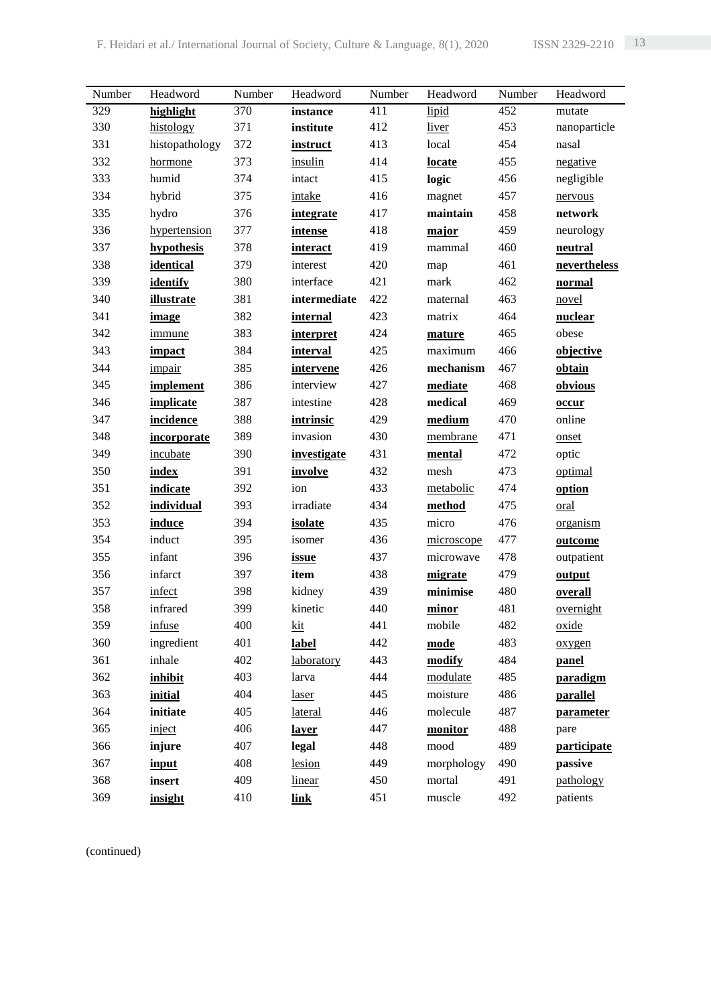| Number | Headword          | Number | Headword           | Number | Headword   | Number | Headword         |
|--------|-------------------|--------|--------------------|--------|------------|--------|------------------|
| 329    | highlight         | 370    | instance           | 411    | lipid      | 452    | mutate           |
| 330    | histology         | 371    | institute          | 412    | liver      | 453    | nanoparticle     |
| 331    | histopathology    | 372    | instruct           | 413    | local      | 454    | nasal            |
| 332    | hormone           | 373    | insulin            | 414    | locate     | 455    | negative         |
| 333    | humid             | 374    | intact             | 415    | logic      | 456    | negligible       |
| 334    | hybrid            | 375    | intake             | 416    | magnet     | 457    | nervous          |
| 335    | hydro             | 376    | <i>integrate</i>   | 417    | maintain   | 458    | network          |
| 336    | hypertension      | 377    | <i>intense</i>     | 418    | major      | 459    | neurology        |
| 337    | hypothesis        | 378    | interact           | 419    | mammal     | 460    | neutral          |
| 338    | identical         | 379    | interest           | 420    | map        | 461    | nevertheless     |
| 339    | identify          | 380    | interface          | 421    | mark       | 462    | normal           |
| 340    | <i>illustrate</i> | 381    | intermediate       | 422    | maternal   | 463    | novel            |
| 341    | image             | 382    | internal           | 423    | matrix     | 464    | nuclear          |
| 342    | immune            | 383    | interpret          | 424    | mature     | 465    | obese            |
| 343    | impact            | 384    | <i>interval</i>    | 425    | maximum    | 466    | objective        |
| 344    | impair            | 385    | intervene          | 426    | mechanism  | 467    | obtain           |
| 345    | implement         | 386    | interview          | 427    | mediate    | 468    | obvious          |
| 346    | implicate         | 387    | intestine          | 428    | medical    | 469    | occur            |
| 347    | incidence         | 388    | intrinsic          | 429    | medium     | 470    | online           |
| 348    | incorporate       | 389    | invasion           | 430    | membrane   | 471    | onset            |
| 349    | incubate          | 390    | <i>investigate</i> | 431    | mental     | 472    | optic            |
| 350    | index             | 391    | involve            | 432    | mesh       | 473    | optimal          |
| 351    | indicate          | 392    | ion                | 433    | metabolic  | 474    | option           |
| 352    | individual        | 393    | irradiate          | 434    | method     | 475    | oral             |
| 353    | induce            | 394    | isolate            | 435    | micro      | 476    | organism         |
| 354    | induct            | 395    | isomer             | 436    | microscope | 477    | outcome          |
| 355    | infant            | 396    | issue              | 437    | microwave  | 478    | outpatient       |
| 356    | infarct           | 397    | item               | 438    | migrate    | 479    | output           |
| 357    | infect            | 398    | kidney             | 439    | minimise   | 480    | overall          |
| 358    | infrared          | 399    | kinetic            | 440    | minor      | 481    | overnight        |
| 359    | infuse            | 400    | <u>kit</u>         | 441    | mobile     | 482    | oxide            |
| 360    | ingredient        | 401    | label              | 442    | mode       | 483    | oxygen           |
| 361    | inhale            | 402    | laboratory         | 443    | modify     | 484    | panel            |
| 362    | inhibit           | 403    | larva              | 444    | modulate   | 485    | paradigm         |
| 363    | initial           | 404    | laser              | 445    | moisture   | 486    | <b>parallel</b>  |
| 364    | initiate          | 405    | lateral            | 446    | molecule   | 487    | <b>parameter</b> |
| 365    | inject            | 406    | layer              | 447    | monitor    | 488    | pare             |
| 366    | injure            | 407    | legal              | 448    | mood       | 489    | participate      |
| 367    | input             | 408    | lesion             | 449    | morphology | 490    | passive          |
| 368    | insert            | 409    | linear             | 450    | mortal     | 491    | pathology        |
| 369    | insight           | 410    | <b>link</b>        | 451    | muscle     | 492    | patients         |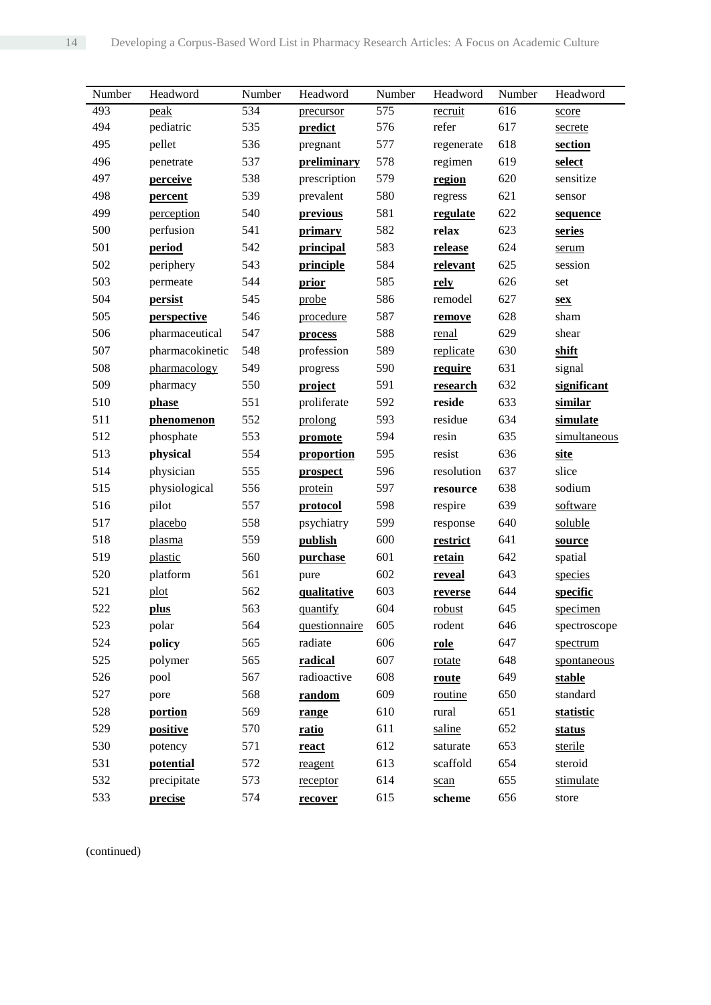| Number | Headword        | Number | Headword      | Number | Headword   | Number | Headword     |
|--------|-----------------|--------|---------------|--------|------------|--------|--------------|
| 493    | peak            | 534    | precursor     | 575    | recruit    | 616    | score        |
| 494    | pediatric       | 535    | predict       | 576    | refer      | 617    | secrete      |
| 495    | pellet          | 536    | pregnant      | 577    | regenerate | 618    | section      |
| 496    | penetrate       | 537    | preliminary   | 578    | regimen    | 619    | select       |
| 497    | perceive        | 538    | prescription  | 579    | region     | 620    | sensitize    |
| 498    | percent         | 539    | prevalent     | 580    | regress    | 621    | sensor       |
| 499    | perception      | 540    | previous      | 581    | regulate   | 622    | sequence     |
| 500    | perfusion       | 541    | primary       | 582    | relax      | 623    | series       |
| 501    | period          | 542    | principal     | 583    | release    | 624    | serum        |
| 502    | periphery       | 543    | principle     | 584    | relevant   | 625    | session      |
| 503    | permeate        | 544    | prior         | 585    | rely       | 626    | set          |
| 504    | persist         | 545    | probe         | 586    | remodel    | 627    | <u>sex</u>   |
| 505    | perspective     | 546    | procedure     | 587    | remove     | 628    | sham         |
| 506    | pharmaceutical  | 547    | process       | 588    | renal      | 629    | shear        |
| 507    | pharmacokinetic | 548    | profession    | 589    | replicate  | 630    | shift        |
| 508    | pharmacology    | 549    | progress      | 590    | require    | 631    | signal       |
| 509    | pharmacy        | 550    | project       | 591    | research   | 632    | significant  |
| 510    | phase           | 551    | proliferate   | 592    | reside     | 633    | similar      |
| 511    | phenomenon      | 552    | prolong       | 593    | residue    | 634    | simulate     |
| 512    | phosphate       | 553    | promote       | 594    | resin      | 635    | simultaneous |
| 513    | physical        | 554    | proportion    | 595    | resist     | 636    | <b>site</b>  |
| 514    | physician       | 555    | prospect      | 596    | resolution | 637    | slice        |
| 515    | physiological   | 556    | protein       | 597    | resource   | 638    | sodium       |
| 516    | pilot           | 557    | protocol      | 598    | respire    | 639    | software     |
| 517    | placebo         | 558    | psychiatry    | 599    | response   | 640    | soluble      |
| 518    | plasma          | 559    | publish       | 600    | restrict   | 641    | source       |
| 519    | plastic         | 560    | purchase      | 601    | retain     | 642    | spatial      |
| 520    | platform        | 561    | pure          | 602    | reveal     | 643    | species      |
| 521    | plot            | 562    | qualitative   | 603    | reverse    | 644    | specific     |
| 522    | plus            | 563    | quantify      | 604    | robust     | 645    | specimen     |
| 523    | polar           | 564    | questionnaire | 605    | rodent     | 646    | spectroscope |
| 524    | policy          | 565    | radiate       | 606    | role       | 647    | spectrum     |
| 525    | polymer         | 565    | radical       | 607    | rotate     | 648    | spontaneous  |
| 526    | pool            | 567    | radioactive   | 608    | route      | 649    | stable       |
| 527    | pore            | 568    | random        | 609    | routine    | 650    | standard     |
| 528    | portion         | 569    | range         | 610    | rural      | 651    | statistic    |
| 529    | positive        | 570    | ratio         | 611    | saline     | 652    | status       |
| 530    | potency         | 571    | react         | 612    | saturate   | 653    | sterile      |
| 531    | potential       | 572    | reagent       | 613    | scaffold   | 654    | steroid      |
| 532    | precipitate     | 573    | receptor      | 614    | scan       | 655    | stimulate    |
| 533    | precise         | 574    | recover       | 615    | scheme     | 656    | store        |